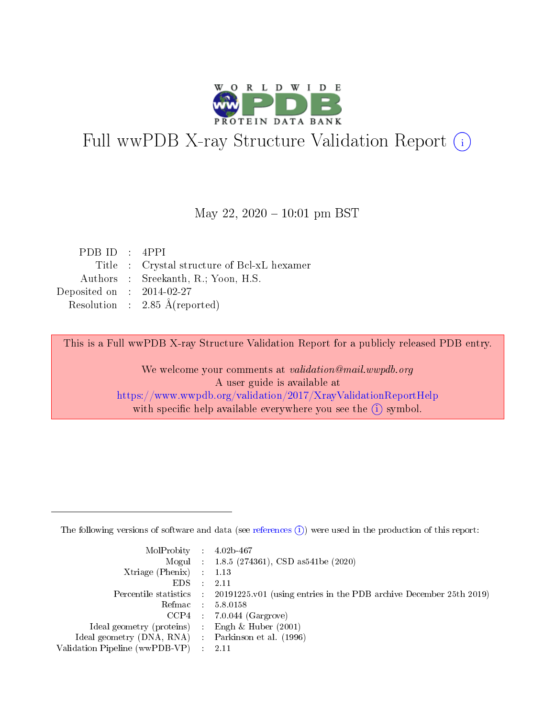

# Full wwPDB X-ray Structure Validation Report (i)

#### May 22,  $2020 - 10:01$  pm BST

| PDBID : 4PPI                                |
|---------------------------------------------|
| Title : Crystal structure of Bcl-xL hexamer |
| Authors : Sreekanth, R.; Yoon, H.S.         |
| Deposited on : $2014-02-27$                 |
| Resolution : $2.85 \text{ Å}$ (reported)    |
|                                             |

This is a Full wwPDB X-ray Structure Validation Report for a publicly released PDB entry.

We welcome your comments at validation@mail.wwpdb.org A user guide is available at <https://www.wwpdb.org/validation/2017/XrayValidationReportHelp> with specific help available everywhere you see the  $(i)$  symbol.

The following versions of software and data (see [references](https://www.wwpdb.org/validation/2017/XrayValidationReportHelp#references)  $(1)$ ) were used in the production of this report:

| $MolProbability$ : 4.02b-467                        |                                                                                            |
|-----------------------------------------------------|--------------------------------------------------------------------------------------------|
|                                                     | Mogul : $1.8.5$ (274361), CSD as 541be (2020)                                              |
| Xtriage (Phenix) $: 1.13$                           |                                                                                            |
| $EDS$ :                                             | -2.11                                                                                      |
|                                                     | Percentile statistics : 20191225.v01 (using entries in the PDB archive December 25th 2019) |
| Refmac : 5.8.0158                                   |                                                                                            |
| CCP4                                                | $7.0.044$ (Gargrove)                                                                       |
| Ideal geometry (proteins) :                         | Engh $\&$ Huber (2001)                                                                     |
| Ideal geometry (DNA, RNA) : Parkinson et al. (1996) |                                                                                            |
| Validation Pipeline (wwPDB-VP) : 2.11               |                                                                                            |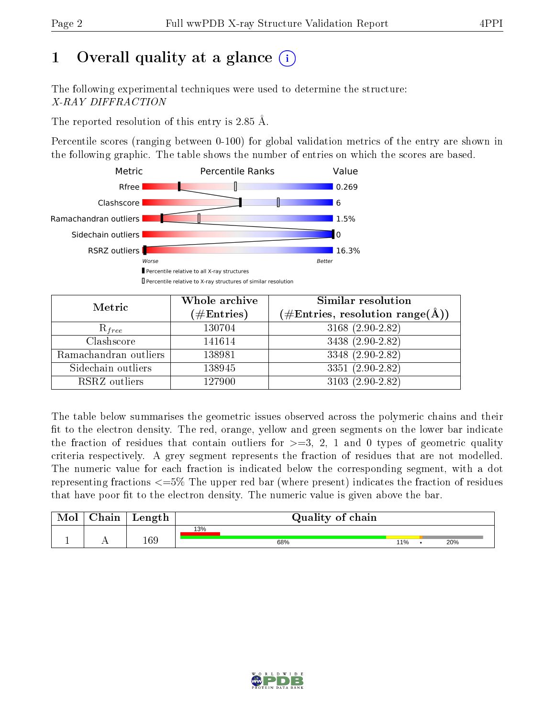# 1 [O](https://www.wwpdb.org/validation/2017/XrayValidationReportHelp#overall_quality)verall quality at a glance  $(i)$

The following experimental techniques were used to determine the structure: X-RAY DIFFRACTION

The reported resolution of this entry is 2.85 Å.

Percentile scores (ranging between 0-100) for global validation metrics of the entry are shown in the following graphic. The table shows the number of entries on which the scores are based.



| Metric                | Whole archive<br>$(\#\text{Entries})$ | <b>Similar resolution</b><br>$(\#\text{Entries},\,\text{resolution}\,\,\text{range}(\textup{\AA}))$ |
|-----------------------|---------------------------------------|-----------------------------------------------------------------------------------------------------|
| $R_{free}$            | 130704                                | 3168 (2.90-2.82)                                                                                    |
| Clashscore            | 141614                                | 3438 (2.90-2.82)                                                                                    |
| Ramachandran outliers | 138981                                | 3348 (2.90-2.82)                                                                                    |
| Sidechain outliers    | 138945                                | $3351 (2.90 - 2.82)$                                                                                |
| RSRZ outliers         | 127900                                | $3103(2.90-2.82)$                                                                                   |

The table below summarises the geometric issues observed across the polymeric chains and their fit to the electron density. The red, orange, yellow and green segments on the lower bar indicate the fraction of residues that contain outliers for  $>=$  3, 2, 1 and 0 types of geometric quality criteria respectively. A grey segment represents the fraction of residues that are not modelled. The numeric value for each fraction is indicated below the corresponding segment, with a dot representing fractions  $\epsilon=5\%$  The upper red bar (where present) indicates the fraction of residues that have poor fit to the electron density. The numeric value is given above the bar.

| Mol | ${\rm Chain}$ | Length |     | Quality of chain |     |  |     |  |  |
|-----|---------------|--------|-----|------------------|-----|--|-----|--|--|
|     |               |        | 13% |                  |     |  |     |  |  |
|     |               | 169    |     | 68%              | 11% |  | 20% |  |  |

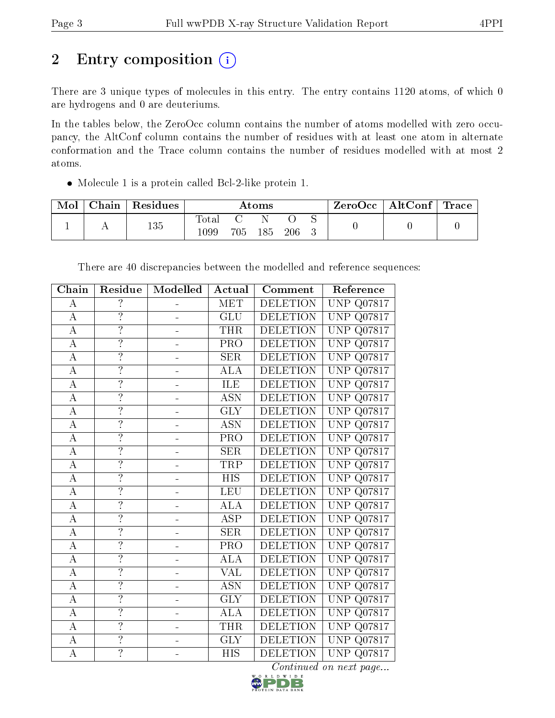# 2 Entry composition (i)

There are 3 unique types of molecules in this entry. The entry contains 1120 atoms, of which 0 are hydrogens and 0 are deuteriums.

In the tables below, the ZeroOcc column contains the number of atoms modelled with zero occupancy, the AltConf column contains the number of residues with at least one atom in alternate conformation and the Trace column contains the number of residues modelled with at most 2 atoms.

Molecule 1 is a protein called Bcl-2-like protein 1.

| Mol | ${\rm Chain}$ | <sup>'</sup> Residues | $\rm{Atoms}$                 |     |     | ZeroOcc | $\mid$ AltConf $\mid$ Trace |  |  |  |
|-----|---------------|-----------------------|------------------------------|-----|-----|---------|-----------------------------|--|--|--|
|     |               | 135                   | $\tau_\mathrm{otai}$<br>1099 | 705 | 185 | 206     |                             |  |  |  |

| Chain              | Residue                  | Modelled                 | Actual                                      | Comment         | Reference                         |
|--------------------|--------------------------|--------------------------|---------------------------------------------|-----------------|-----------------------------------|
| $\boldsymbol{A}$   | $\overline{\mathcal{L}}$ |                          | MET                                         | <b>DELETION</b> | <b>UNP</b><br>Q07817              |
| $\boldsymbol{A}$   | $\overline{?}$           |                          | <b>GLU</b>                                  | <b>DELETION</b> | <b>UNP</b><br>Q07817              |
| А                  | $\overline{?}$           |                          | <b>THR</b>                                  | <b>DELETION</b> | <b>UNP</b><br>Q07817              |
| $\overline{A}$     | $\overline{?}$           | $\blacksquare$           | PRO                                         | <b>DELETION</b> | <b>UNP</b><br>Q07817              |
| $\overline{A}$     | $\overline{?}$           |                          | SER                                         | <b>DELETION</b> | <b>UNP</b><br>Q07817              |
| $\boldsymbol{A}$   | $\ddot{.}$               |                          | ALA                                         | <b>DELETION</b> | <b>UNP</b><br>Q07817              |
| $\overline{A}$     | $\overline{?}$           | ÷                        | ILE                                         | <b>DELETION</b> | <b>UNP</b><br>Q07817              |
| $\overline{\rm A}$ | $\overline{?}$           |                          | <b>ASN</b>                                  | <b>DELETION</b> | <b>UNP</b><br>Q07817              |
| $\boldsymbol{A}$   | $\ddot{.}$               |                          | <b>GLY</b>                                  | <b>DELETION</b> | <b>UNP</b><br>Q07817              |
| $\overline{A}$     | $\overline{?}$           | ÷                        | <b>ASN</b>                                  | <b>DELETION</b> | <b>UNP</b><br>Q07817              |
| $\bf{A}$           | $\overline{?}$           |                          | PRO                                         | <b>DELETION</b> | <b>UNP</b><br>Q07817              |
| $\overline{A}$     | $\overline{?}$           |                          | SER                                         | <b>DELETION</b> | <b>UNP</b><br>Q07817              |
| $\overline{A}$     | $\overline{?}$           | $\equiv$                 | TRP                                         | <b>DELETION</b> | <b>UNP</b><br>Q07817              |
| $\overline{\rm A}$ | $\overline{?}$           |                          | <b>HIS</b>                                  | <b>DELETION</b> | <b>UNP</b><br>Q07817              |
| $\overline{A}$     | $\overline{?}$           |                          | LEU                                         | <b>DELETION</b> | <b>UNP</b><br>Q07817              |
| $\overline{A}$     | $\overline{?}$           | ÷                        | $\overline{\mathrm{A}}\mathrm{L}\mathrm{A}$ | <b>DELETION</b> | <b>UNP</b><br>Q07817              |
| $\overline{\rm A}$ | $\overline{?}$           |                          | $\overline{\text{ASP}}$                     | <b>DELETION</b> | <b>UNP</b><br>Q07817              |
| $\bf{A}$           | $\overline{?}$           |                          | <b>SER</b>                                  | <b>DELETION</b> | <b>UNP</b><br>Q07817              |
| $\overline{\rm A}$ | $\overline{?}$           | -                        | PRO                                         | <b>DELETION</b> | <b>UNP</b><br>Q07817              |
| $\overline{\rm A}$ | $\overline{?}$           |                          | <b>ALA</b>                                  | <b>DELETION</b> | <b>UNP</b><br>$Q\overline{07817}$ |
| $\overline{\rm A}$ | $\overline{?}$           |                          | $\overline{\text{VAL}}$                     | <b>DELETION</b> | <b>UNP</b><br>Q07817              |
| $\overline{A}$     | $\overline{?}$           | ÷                        | <b>ASN</b>                                  | <b>DELETION</b> | <b>UNP</b><br>Q07817              |
| $\bf{A}$           | $\overline{?}$           |                          | <b>GLY</b>                                  | <b>DELETION</b> | <b>UNP</b><br>Q07817              |
| $\overline{\rm A}$ | $\overline{?}$           |                          | $\overline{\rm ALA}$                        | <b>DELETION</b> | <b>UNP</b><br>Q07817              |
| $\boldsymbol{A}$   | $\overline{?}$           | $\blacksquare$           | <b>THR</b>                                  | <b>DELETION</b> | <b>UNP</b><br>Q07817              |
| $\overline{A}$     | $\overline{?}$           |                          | <b>GLY</b>                                  | <b>DELETION</b> | <b>UNP</b><br>Q07817              |
| $\overline{A}$     | $\overline{?}$           | $\overline{\phantom{0}}$ | <b>HIS</b>                                  | <b>DELETION</b> | <b>UNP</b><br>Q07817              |

There are 40 discrepancies between the modelled and reference sequences:

 $Continued$  on next page...

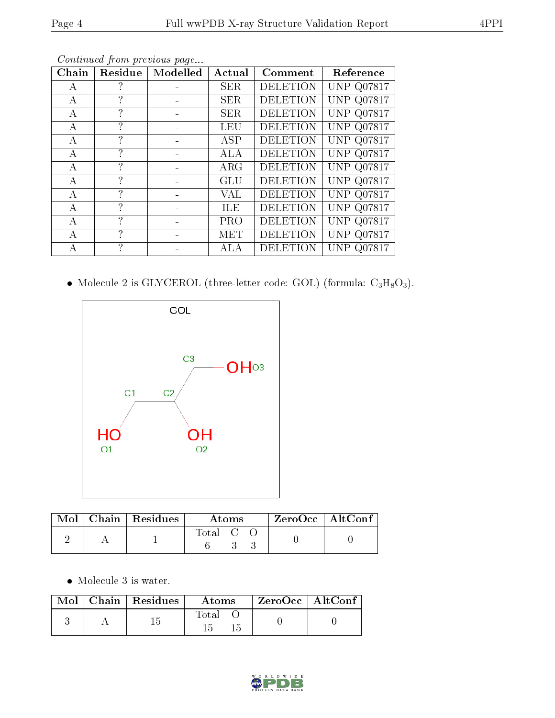| Chain | Residue       | Modelled | Actual     | Comment         | Reference         |
|-------|---------------|----------|------------|-----------------|-------------------|
| A     | ?             |          | <b>SER</b> | <b>DELETION</b> | <b>UNP Q07817</b> |
| А     | $\mathcal{P}$ |          | <b>SER</b> | <b>DELETION</b> | <b>UNP Q07817</b> |
| А     | ?             |          | <b>SER</b> | <b>DELETION</b> | <b>UNP Q07817</b> |
| А     | ?             |          | <b>LEU</b> | <b>DELETION</b> | <b>UNP Q07817</b> |
| А     | ?             |          | ASP        | <b>DELETION</b> | <b>UNP Q07817</b> |
| А     | ?             |          | ALA        | <b>DELETION</b> | <b>UNP Q07817</b> |
| А     | ?             |          | $\rm{ARG}$ | <b>DELETION</b> | <b>UNP Q07817</b> |
| А     | $\mathcal{P}$ |          | GLU        | <b>DELETION</b> | <b>UNP Q07817</b> |
| А     | ?             |          | VAL        | <b>DELETION</b> | <b>UNP Q07817</b> |
| А     | ?             |          | ILE        | <b>DELETION</b> | <b>UNP Q07817</b> |
| А     | $\mathcal{P}$ |          | <b>PRO</b> | <b>DELETION</b> | <b>UNP Q07817</b> |
| А     | ?             |          | MET        | <b>DELETION</b> | <b>UNP Q07817</b> |
| А     | ?             |          | ALA        | <b>DELETION</b> | <b>UNP Q07817</b> |

Continued from previous page...

 $\bullet$  Molecule 2 is GLYCEROL (three-letter code: GOL) (formula:  $\rm{C_3H_8O_3}).$ 



|  | $\parallel$ Mol $\parallel$ Chain $\parallel$ Residues | Atoms   |  |  | $ZeroOcc \   \ AltConf$ |  |
|--|--------------------------------------------------------|---------|--|--|-------------------------|--|
|  |                                                        | Total C |  |  |                         |  |

• Molecule 3 is water.

|  | $\text{Mol}$   Chain   Residues | Atoms | $\mid$ ZeroOcc $\mid$ AltConf $\mid$ |  |
|--|---------------------------------|-------|--------------------------------------|--|
|  |                                 | Total |                                      |  |

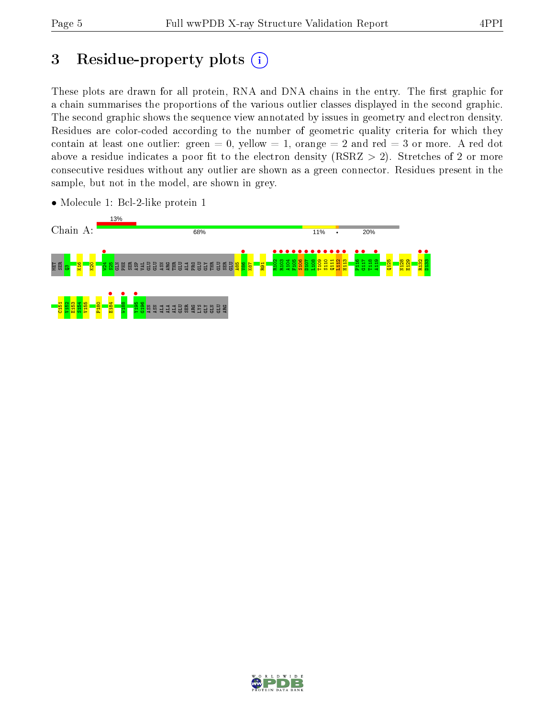# 3 Residue-property plots  $(i)$

These plots are drawn for all protein, RNA and DNA chains in the entry. The first graphic for a chain summarises the proportions of the various outlier classes displayed in the second graphic. The second graphic shows the sequence view annotated by issues in geometry and electron density. Residues are color-coded according to the number of geometric quality criteria for which they contain at least one outlier: green  $= 0$ , yellow  $= 1$ , orange  $= 2$  and red  $= 3$  or more. A red dot above a residue indicates a poor fit to the electron density (RSRZ  $> 2$ ). Stretches of 2 or more consecutive residues without any outlier are shown as a green connector. Residues present in the sample, but not in the model, are shown in grey.



• Molecule 1: Bcl-2-like protein 1

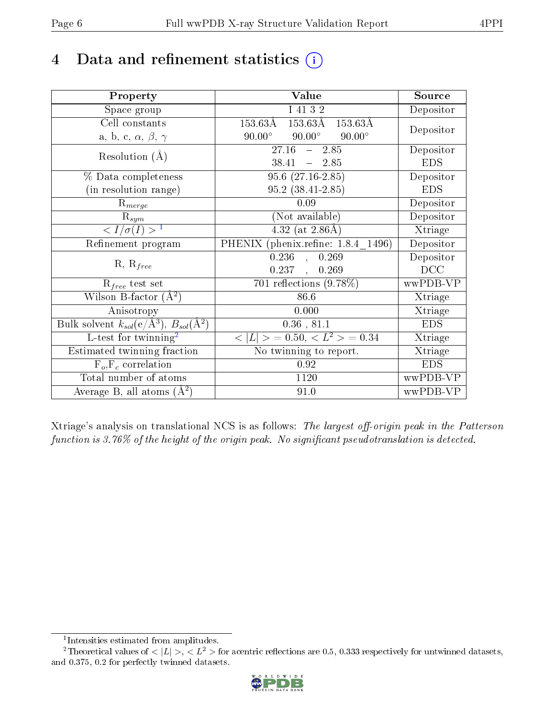# 4 Data and refinement statistics  $(i)$

| Property                                                             | Value                                                     | Source     |
|----------------------------------------------------------------------|-----------------------------------------------------------|------------|
| Space group                                                          | I 41 3 2                                                  | Depositor  |
| Cell constants                                                       | $153.63\text{\AA}$<br>$153.63\textup{\AA}$<br>$153.63\AA$ |            |
| a, b, c, $\alpha$ , $\beta$ , $\gamma$                               | $90.00^\circ$<br>$90.00^\circ$<br>$90.00^\circ$           | Depositor  |
| Resolution $(A)$                                                     | 27.16<br>$-2.85$                                          | Depositor  |
|                                                                      | $38.41 - 2.85$                                            | <b>EDS</b> |
| % Data completeness                                                  | $95.6(27.16-2.85)$                                        | Depositor  |
| (in resolution range)                                                | $95.2(38.41-2.85)$                                        | <b>EDS</b> |
| $R_{merge}$                                                          | 0.09                                                      | Depositor  |
| $\mathrm{R}_{sym}$                                                   | (Not available)                                           | Depositor  |
| $\langle I/\sigma(I)\overline{\rangle}^{-1}$                         | $4.32$ (at 2.86Å)                                         | Xtriage    |
| Refinement program                                                   | PHENIX (phenix.refine: 1.8.4 1496)                        | Depositor  |
|                                                                      | 0.236<br>0.269<br>$\sim$                                  | Depositor  |
| $R, R_{free}$                                                        | 0.237,<br>0.269                                           | DCC        |
| $R_{free}$ test set                                                  | 701 reflections $(9.78\%)$                                | wwPDB-VP   |
| Wilson B-factor $(\AA^2)$                                            | 86.6                                                      | Xtriage    |
| Anisotropy                                                           | 0.000                                                     | Xtriage    |
| Bulk solvent $k_{sol}(e/\mathring{A}^3)$ , $B_{sol}(\mathring{A}^2)$ | $0.36$ , $81.1$                                           | <b>EDS</b> |
| L-test for twinning <sup>2</sup>                                     | $< L >$ = 0.50, $< L2 >$ = 0.34                           | Xtriage    |
| Estimated twinning fraction                                          | No twinning to report.                                    | Xtriage    |
| $\overline{F_o,F_c}$ correlation                                     | $\rm 0.92$                                                | <b>EDS</b> |
| Total number of atoms                                                | 1120                                                      | wwPDB-VP   |
| Average B, all atoms $(A^2)$                                         | 91.0                                                      | wwPDB-VP   |

Xtriage's analysis on translational NCS is as follows: The largest off-origin peak in the Patterson function is  $3.76\%$  of the height of the origin peak. No significant pseudotranslation is detected.

<sup>&</sup>lt;sup>2</sup>Theoretical values of  $\langle |L| \rangle$ ,  $\langle L^2 \rangle$  for acentric reflections are 0.5, 0.333 respectively for untwinned datasets, and 0.375, 0.2 for perfectly twinned datasets.



<span id="page-5-1"></span><span id="page-5-0"></span><sup>1</sup> Intensities estimated from amplitudes.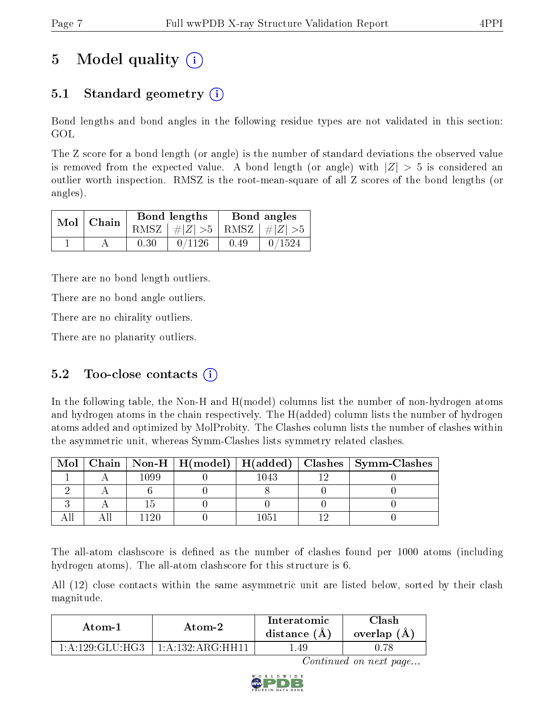# 5 Model quality  $(i)$

# 5.1 Standard geometry  $\overline{()}$

Bond lengths and bond angles in the following residue types are not validated in this section: GOL

The Z score for a bond length (or angle) is the number of standard deviations the observed value is removed from the expected value. A bond length (or angle) with  $|Z| > 5$  is considered an outlier worth inspection. RMSZ is the root-mean-square of all Z scores of the bond lengths (or angles).

| $Mol$   Chain |      | Bond lengths                    | Bond angles |        |  |
|---------------|------|---------------------------------|-------------|--------|--|
|               |      | RMSZ $ #Z  > 5$ RMSZ $ #Z  > 5$ |             |        |  |
|               | 0.30 | 0/1126                          | 0.49        | 0/1524 |  |

There are no bond length outliers.

There are no bond angle outliers.

There are no chirality outliers.

There are no planarity outliers.

# 5.2 Too-close contacts  $(i)$

In the following table, the Non-H and H(model) columns list the number of non-hydrogen atoms and hydrogen atoms in the chain respectively. The H(added) column lists the number of hydrogen atoms added and optimized by MolProbity. The Clashes column lists the number of clashes within the asymmetric unit, whereas Symm-Clashes lists symmetry related clashes.

| Mol |      |      | Chain   Non-H   H(model)   H(added)   Clashes   Symm-Clashes |
|-----|------|------|--------------------------------------------------------------|
|     | 1099 | 1043 |                                                              |
|     |      |      |                                                              |
|     |      |      |                                                              |
|     |      |      |                                                              |

The all-atom clashscore is defined as the number of clashes found per 1000 atoms (including hydrogen atoms). The all-atom clashscore for this structure is 6.

All (12) close contacts within the same asymmetric unit are listed below, sorted by their clash magnitude.

| Atom-1              | Atom-2                | Interatomic<br>distance $(A)$ | <b>Clash</b><br>overlap $(A)$ |
|---------------------|-----------------------|-------------------------------|-------------------------------|
| 1: A: 129: GLU: HG3 | $1:$ A:132: ARG: HH11 | - 49                          |                               |

Continued on next page...

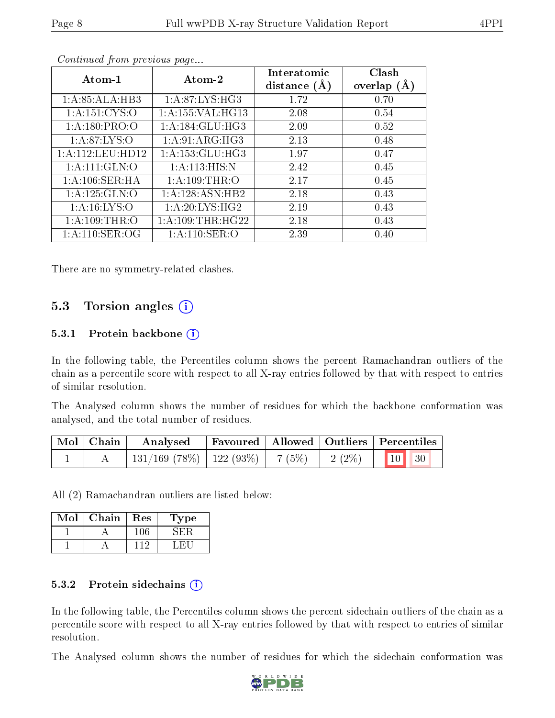| Atom-1            | Atom-2               | Interatomic<br>distance $(A)$ | Clash<br>overlap $(A)$ |
|-------------------|----------------------|-------------------------------|------------------------|
| 1:A:85:ALA:HB3    | 1:A:87:LYS:HG3       | 1.72                          | 0.70                   |
| 1: A:151: CYS:O   | 1:A:155:VAL:HG13     | 2.08                          | 0.54                   |
| 1: A: 180: PRO: O | 1: A:184: GLU:HG3    | 2.09                          | 0.52                   |
| 1: A:87: LYS:O    | 1: A:91: ARG:HG3     | 2.13                          | 0.48                   |
| 1:A:112:LEU:HD12  | 1: A: 153: GLU: HG3  | 1.97                          | 0.47                   |
| 1:A:111:GLN:0     | 1: A:113:HIS:N       | 2.42                          | 0.45                   |
| 1: A:106: SER: HA | 1: A:109:THR:O       | 2.17                          | 0.45                   |
| 1: A: 125: GLN:O  | 1: A:128: ASN:HB2    | 2.18                          | 0.43                   |
| 1: A:16: LYS:O    | 1: A:20: LYS: HG2    | 2.19                          | 0.43                   |
| 1: A:109:THR:O    | 1: A: 109: THR: HG22 | 2.18                          | 0.43                   |
| 1: A:110: SER:OG  | 1: A: 110: SER: O    | 2.39                          | 0.40                   |

Continued from previous page...

There are no symmetry-related clashes.

### 5.3 Torsion angles (i)

#### 5.3.1 Protein backbone  $(i)$

In the following table, the Percentiles column shows the percent Ramachandran outliers of the chain as a percentile score with respect to all X-ray entries followed by that with respect to entries of similar resolution.

The Analysed column shows the number of residues for which the backbone conformation was analysed, and the total number of residues.

| Mol   Chain | Analysed                                |  | Favoured   Allowed   Outliers   Percentiles                                                |
|-------------|-----------------------------------------|--|--------------------------------------------------------------------------------------------|
|             | $131/169$ (78\%)   122 (93\%)   7 (5\%) |  | $\begin{array}{ c c c c c c c c } \hline 2 & 2 & \sqrt{2} & 10 & 30 \\ \hline \end{array}$ |

All (2) Ramachandran outliers are listed below:

| Mol | Chain | Res | Type |
|-----|-------|-----|------|
|     |       |     |      |
|     |       |     |      |

#### 5.3.2 Protein sidechains  $(i)$

In the following table, the Percentiles column shows the percent sidechain outliers of the chain as a percentile score with respect to all X-ray entries followed by that with respect to entries of similar resolution.

The Analysed column shows the number of residues for which the sidechain conformation was

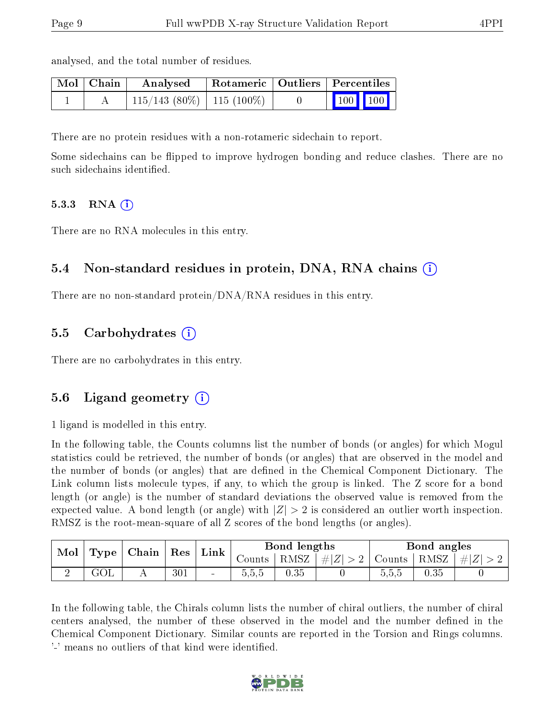|  |  |  |  |  | analysed, and the total number of residues. |  |
|--|--|--|--|--|---------------------------------------------|--|
|--|--|--|--|--|---------------------------------------------|--|

| Mol   Chain | Analysed                       |  | $\mid$ Rotameric $\mid$ Outliers $\mid$ Percentiles          |  |
|-------------|--------------------------------|--|--------------------------------------------------------------|--|
|             | $115/143$ (80\%)   115 (100\%) |  | $\begin{array}{ c c c c c }\n\hline\n100 & 100\n\end{array}$ |  |

There are no protein residues with a non-rotameric sidechain to report.

Some sidechains can be flipped to improve hydrogen bonding and reduce clashes. There are no such sidechains identified.

#### 5.3.3 RNA  $(i)$

There are no RNA molecules in this entry.

### 5.4 Non-standard residues in protein, DNA, RNA chains (i)

There are no non-standard protein/DNA/RNA residues in this entry.

### 5.5 Carbohydrates (i)

There are no carbohydrates in this entry.

### 5.6 Ligand geometry (i)

1 ligand is modelled in this entry.

In the following table, the Counts columns list the number of bonds (or angles) for which Mogul statistics could be retrieved, the number of bonds (or angles) that are observed in the model and the number of bonds (or angles) that are dened in the Chemical Component Dictionary. The Link column lists molecule types, if any, to which the group is linked. The Z score for a bond length (or angle) is the number of standard deviations the observed value is removed from the expected value. A bond length (or angle) with  $|Z| > 2$  is considered an outlier worth inspection. RMSZ is the root-mean-square of all Z scores of the bond lengths (or angles).

| Mol |           | $\mid$ Type $\mid$ Chain $\mid$ Res $\mid$ |     |              |        | Bond lengths |                                                          |       | Bond angles |  |
|-----|-----------|--------------------------------------------|-----|--------------|--------|--------------|----------------------------------------------------------|-------|-------------|--|
|     |           |                                            |     | $\perp$ Link | Counts |              | RMSZ $\mid \#  Z  > 2$   Counts   RMSZ $\mid \#  Z  > 2$ |       |             |  |
|     | $\rm GOL$ |                                            | 301 | $\sim$       | 0.5.5  | 0.35         |                                                          | 0.5.5 | 0.35        |  |

In the following table, the Chirals column lists the number of chiral outliers, the number of chiral centers analysed, the number of these observed in the model and the number defined in the Chemical Component Dictionary. Similar counts are reported in the Torsion and Rings columns. '-' means no outliers of that kind were identified.

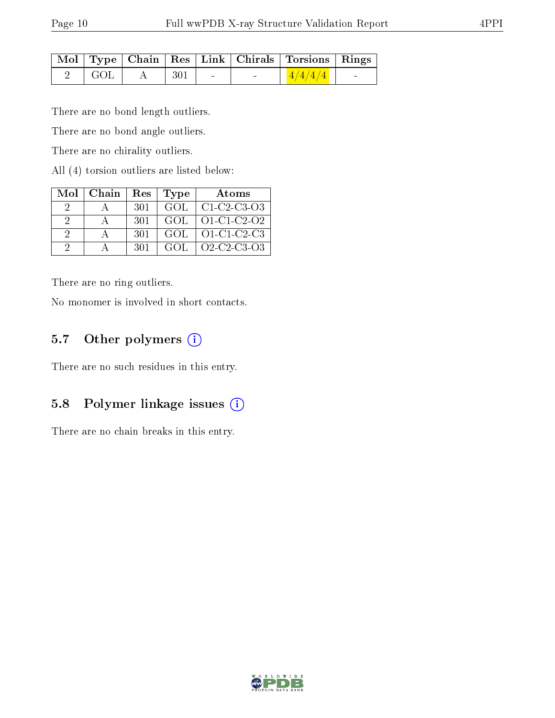|                              |              |  | Mol   Type   Chain   Res   Link   Chirals   Torsions   Rings |  |
|------------------------------|--------------|--|--------------------------------------------------------------|--|
| $\overline{\phantom{a}}$ GOL | $A \mid 301$ |  | $\vert$ 4/4/4/4 $\vert$                                      |  |

There are no bond length outliers.

There are no bond angle outliers.

There are no chirality outliers.

All (4) torsion outliers are listed below:

| Mol                         | Chain | $\operatorname{Res}$ | <b>Type</b> | Atoms                                                |
|-----------------------------|-------|----------------------|-------------|------------------------------------------------------|
| 9                           |       | -301                 | GOL.        | $C1-C2-C3-O3$                                        |
| $\mathcal{D}_{\mathcal{L}}$ |       | -301                 | GOL         | $O1 - C1 - C2 - O2$                                  |
| 2                           |       | 301                  | GOL.        | $O1-C1-C2-C3$                                        |
| 9                           |       | -301                 | GOL.        | $O2$ -C <sub>2</sub> -C <sub>3</sub> -O <sub>3</sub> |

There are no ring outliers.

No monomer is involved in short contacts.

### 5.7 [O](https://www.wwpdb.org/validation/2017/XrayValidationReportHelp#nonstandard_residues_and_ligands)ther polymers (i)

There are no such residues in this entry.

### 5.8 Polymer linkage issues (i)

There are no chain breaks in this entry.

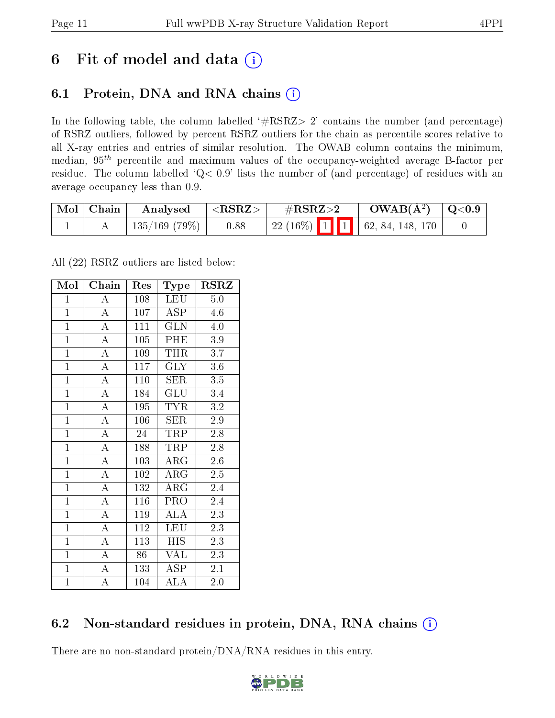# 6 Fit of model and data  $(i)$

# 6.1 Protein, DNA and RNA chains  $(i)$

In the following table, the column labelled  $#RSRZ> 2'$  contains the number (and percentage) of RSRZ outliers, followed by percent RSRZ outliers for the chain as percentile scores relative to all X-ray entries and entries of similar resolution. The OWAB column contains the minimum, median,  $95<sup>th</sup>$  percentile and maximum values of the occupancy-weighted average B-factor per residue. The column labelled ' $Q< 0.9$ ' lists the number of (and percentage) of residues with an average occupancy less than 0.9.

| $\mid$ Mol $\mid$ Chain | Analysed             | $^+$ <rsrz></rsrz> | $\#\mathrm{RSRZ}{>}2$               | $\text{OWAB}(\AA^2)$ $\mid$ Q<0.9 $\mid$ |  |
|-------------------------|----------------------|--------------------|-------------------------------------|------------------------------------------|--|
|                         | $\mid$ 135/169 (79%) | 0.88               | 22 (16%)   1   1   62, 84, 148, 170 |                                          |  |

All (22) RSRZ outliers are listed below:

| Mol            | Chain              | Res | <b>Type</b>             | <b>RSRZ</b>      |
|----------------|--------------------|-----|-------------------------|------------------|
| $\mathbf{1}$   | A                  | 108 | LEU                     | 5.0              |
| $\overline{1}$ | $\overline{\rm A}$ | 107 | ASP                     | 4.6              |
| $\mathbf{1}$   | $\overline{A}$     | 111 | $\overline{\text{GLN}}$ | 4.0              |
| $\mathbf{1}$   | $\overline{\rm A}$ | 105 | PHE                     | $3.9\,$          |
| $\overline{1}$ | $\overline{\rm A}$ | 109 | <b>THR</b>              | $\overline{3.7}$ |
| $\overline{1}$ | $\overline{\rm A}$ | 117 | $\overline{\text{GLY}}$ | 3.6              |
| $\overline{1}$ | $\overline{A}$     | 110 | SER                     | $3.5\,$          |
| $\mathbf{1}$   | $\overline{A}$     | 184 | GLU                     | 3.4              |
| $\overline{1}$ | $\overline{\rm A}$ | 195 | <b>TYR</b>              | 3.2              |
| $\overline{1}$ | $\overline{A}$     | 106 | <b>SER</b>              | 2.9              |
| $\overline{1}$ | $\overline{A}$     | 24  | TRP                     | 2.8              |
| $\mathbf{1}$   | $\overline{\rm A}$ | 188 | TRP                     | 2.8              |
| $\mathbf{1}$   | $\overline{A}$     | 103 | $\rm{ARG}$              | 2.6              |
| $\mathbf{1}$   | $\boldsymbol{A}$   | 102 | $\rm{ARG}$              | 2.5              |
| $\overline{1}$ | $\overline{A}$     | 132 | $\rm{ARG}$              | 2.4              |
| $\mathbf{1}$   | $\overline{A}$     | 116 | PRO                     | 2.4              |
| $\mathbf{1}$   | $\overline{\rm A}$ | 119 | ALA                     | 2.3              |
| $\overline{1}$ | $\overline{\rm A}$ | 112 | LEU                     | 2.3              |
| $\overline{1}$ | $\boldsymbol{A}$   | 113 | <b>HIS</b>              | 2.3              |
| $\overline{1}$ | $\overline{\rm A}$ | 86  | VAL                     | 2.3              |
| $\mathbf{1}$   | $\boldsymbol{A}$   | 133 | <b>ASP</b>              | 2.1              |
| $\overline{1}$ | А                  | 104 | ALA                     | 2.0              |

# 6.2 Non-standard residues in protein, DNA, RNA chains  $(i)$

There are no non-standard protein/DNA/RNA residues in this entry.